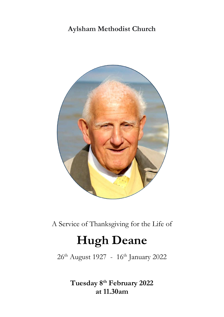# **Aylsham Methodist Church**



A Service of Thanksgiving for the Life of

# **Hugh Deane**

26<sup>th</sup> August 1927 - 16<sup>th</sup> January 2022

**Tuesday 8 th February 2022 at 11.30am**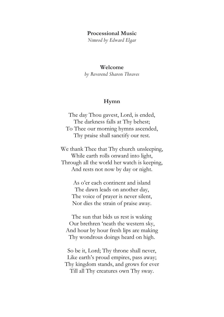#### **Processional Music**

*Nimrod by Edward Elgar*

#### **Welcome**

*by Reverend Sharon Thraves*

#### **Hymn**

The day Thou gavest, Lord, is ended, The darkness falls at Thy behest; To Thee our morning hymns ascended, Thy praise shall sanctify our rest.

We thank Thee that Thy church unsleeping, While earth rolls onward into light, Through all the world her watch is keeping, And rests not now by day or night.

> As o'er each continent and island The dawn leads on another day, The voice of prayer is never silent, Nor dies the strain of praise away.

The sun that bids us rest is waking Our brethren 'neath the western sky, And hour by hour fresh lips are making Thy wondrous doings heard on high.

So be it, Lord; Thy throne shall never, Like earth's proud empires, pass away; Thy kingdom stands, and grows for ever Till all Thy creatures own Thy sway.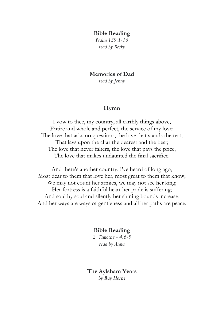#### **Bible Reading**

*Psalm 139:1-16 read by Becky*

#### **Memories of Dad**

*read by Jenny*

#### **Hymn**

I vow to thee, my country, all earthly things above, Entire and whole and perfect, the service of my love: The love that asks no questions, the love that stands the test, That lays upon the altar the dearest and the best; The love that never falters, the love that pays the price, The love that makes undaunted the final sacrifice.

And there's another country, I've heard of long ago, Most dear to them that love her, most great to them that know; We may not count her armies, we may not see her king; Her fortress is a faithful heart her pride is suffering; And soul by soul and silently her shining bounds increase, And her ways are ways of gentleness and all her paths are peace.

## **Bible Reading**

*2. Timothy - 4:6-8 read by Anna*

**The Aylsham Years** *by Ray Horne*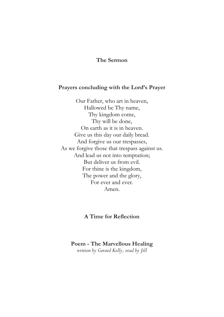# **The Sermon**

### **Prayers concluding with the Lord's Prayer**

Our Father, who art in heaven, Hallowed be Thy name, Thy kingdom come, Thy will be done, On earth as it is in heaven. Give us this day our daily bread. And forgive us our trespasses, As we forgive those that trespass against us. And lead us not into temptation; But deliver us from evil. For thine is the kingdom, The power and the glory, For ever and ever. Amen.

# **A Time for Reflection**

#### **Poem - The Marvellous Healing**

*written by Gerard Kelly, read by Jill*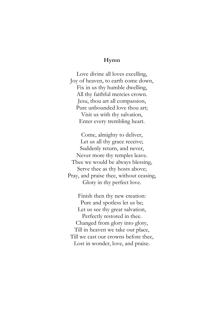# **Hymn**

Love divine all loves excelling, Joy of heaven, to earth come down, Fix in us thy humble dwelling, All thy faithful mercies crown. Jesu, thou art all compassion, Pure unbounded love thou art; Visit us with thy salvation, Enter every trembling heart.

Come, almighty to deliver, Let us all thy grace receive; Suddenly return, and never, Never more thy temples leave. Thee we would be always blessing, Serve thee as thy hosts above; Pray, and praise thee, without ceasing, Glory in thy perfect love.

Finish then thy new creation: Pure and spotless let us be; Let us see thy great salvation, Perfectly restored in thee. Changed from glory into glory, Till in heaven we take our place, Till we cast our crowns before thee, Lost in wonder, love, and praise.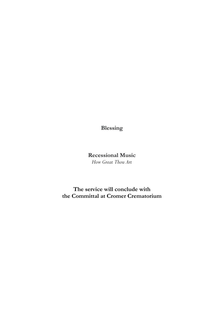**Blessing**

# **Recessional Music** *How Great Thou Art*

**The service will conclude with the Committal at Cromer Crematorium**